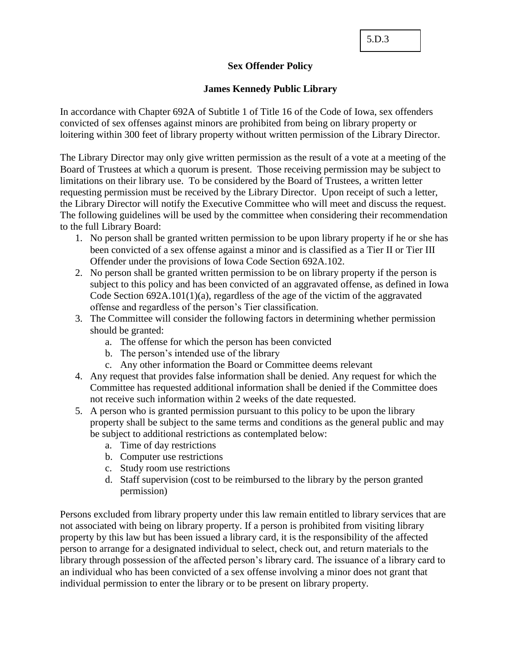5.D.3

## **Sex Offender Policy**

## **James Kennedy Public Library**

In accordance with Chapter 692A of Subtitle 1 of Title 16 of the Code of Iowa, sex offenders convicted of sex offenses against minors are prohibited from being on library property or loitering within 300 feet of library property without written permission of the Library Director.

The Library Director may only give written permission as the result of a vote at a meeting of the Board of Trustees at which a quorum is present. Those receiving permission may be subject to limitations on their library use. To be considered by the Board of Trustees, a written letter requesting permission must be received by the Library Director. Upon receipt of such a letter, the Library Director will notify the Executive Committee who will meet and discuss the request. The following guidelines will be used by the committee when considering their recommendation to the full Library Board:

- 1. No person shall be granted written permission to be upon library property if he or she has been convicted of a sex offense against a minor and is classified as a Tier II or Tier III Offender under the provisions of Iowa Code Section 692A.102.
- 2. No person shall be granted written permission to be on library property if the person is subject to this policy and has been convicted of an aggravated offense, as defined in Iowa Code Section 692A.101(1)(a), regardless of the age of the victim of the aggravated offense and regardless of the person's Tier classification.
- 3. The Committee will consider the following factors in determining whether permission should be granted:
	- a. The offense for which the person has been convicted
	- b. The person's intended use of the library
	- c. Any other information the Board or Committee deems relevant
- 4. Any request that provides false information shall be denied. Any request for which the Committee has requested additional information shall be denied if the Committee does not receive such information within 2 weeks of the date requested.
- 5. A person who is granted permission pursuant to this policy to be upon the library property shall be subject to the same terms and conditions as the general public and may be subject to additional restrictions as contemplated below:
	- a. Time of day restrictions
	- b. Computer use restrictions
	- c. Study room use restrictions
	- d. Staff supervision (cost to be reimbursed to the library by the person granted permission)

Persons excluded from library property under this law remain entitled to library services that are not associated with being on library property. If a person is prohibited from visiting library property by this law but has been issued a library card, it is the responsibility of the affected person to arrange for a designated individual to select, check out, and return materials to the library through possession of the affected person's library card. The issuance of a library card to an individual who has been convicted of a sex offense involving a minor does not grant that individual permission to enter the library or to be present on library property.